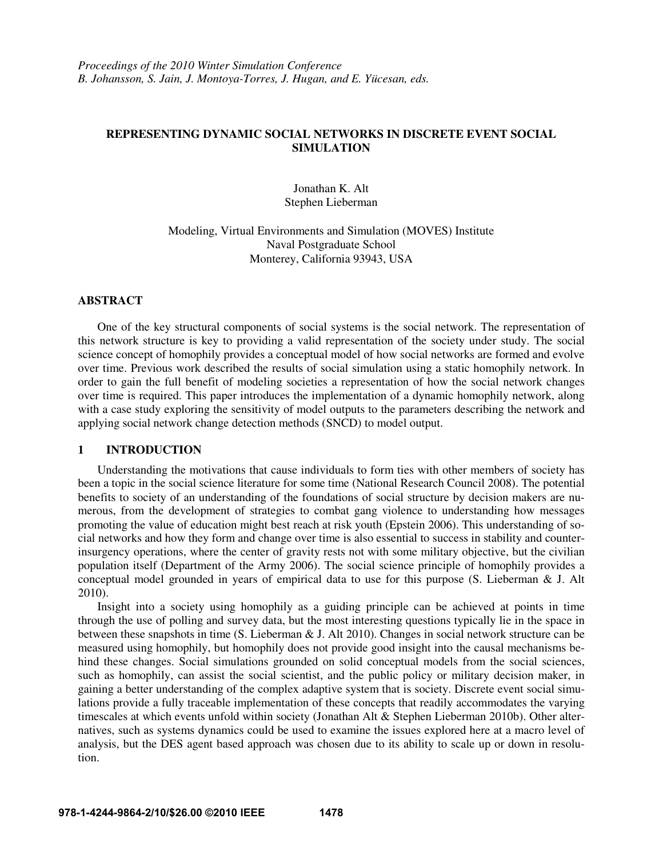# **REPRESENTING DYNAMIC SOCIAL NETWORKS IN DISCRETE EVENT SOCIAL SIMULATION**

Jonathan K. Alt Stephen Lieberman

Modeling, Virtual Environments and Simulation (MOVES) Institute Naval Postgraduate School Monterey, California 93943, USA

## **ABSTRACT**

One of the key structural components of social systems is the social network. The representation of this network structure is key to providing a valid representation of the society under study. The social science concept of homophily provides a conceptual model of how social networks are formed and evolve over time. Previous work described the results of social simulation using a static homophily network. In order to gain the full benefit of modeling societies a representation of how the social network changes over time is required. This paper introduces the implementation of a dynamic homophily network, along with a case study exploring the sensitivity of model outputs to the parameters describing the network and applying social network change detection methods (SNCD) to model output.

# **1 INTRODUCTION**

 Understanding the motivations that cause individuals to form ties with other members of society has been a topic in the social science literature for some time (National Research Council 2008). The potential benefits to society of an understanding of the foundations of social structure by decision makers are numerous, from the development of strategies to combat gang violence to understanding how messages promoting the value of education might best reach at risk youth (Epstein 2006). This understanding of social networks and how they form and change over time is also essential to success in stability and counterinsurgency operations, where the center of gravity rests not with some military objective, but the civilian population itself (Department of the Army 2006). The social science principle of homophily provides a conceptual model grounded in years of empirical data to use for this purpose (S. Lieberman & J. Alt 2010).

Insight into a society using homophily as a guiding principle can be achieved at points in time through the use of polling and survey data, but the most interesting questions typically lie in the space in between these snapshots in time (S. Lieberman & J. Alt 2010). Changes in social network structure can be measured using homophily, but homophily does not provide good insight into the causal mechanisms behind these changes. Social simulations grounded on solid conceptual models from the social sciences, such as homophily, can assist the social scientist, and the public policy or military decision maker, in gaining a better understanding of the complex adaptive system that is society. Discrete event social simulations provide a fully traceable implementation of these concepts that readily accommodates the varying timescales at which events unfold within society (Jonathan Alt & Stephen Lieberman 2010b). Other alternatives, such as systems dynamics could be used to examine the issues explored here at a macro level of analysis, but the DES agent based approach was chosen due to its ability to scale up or down in resolution.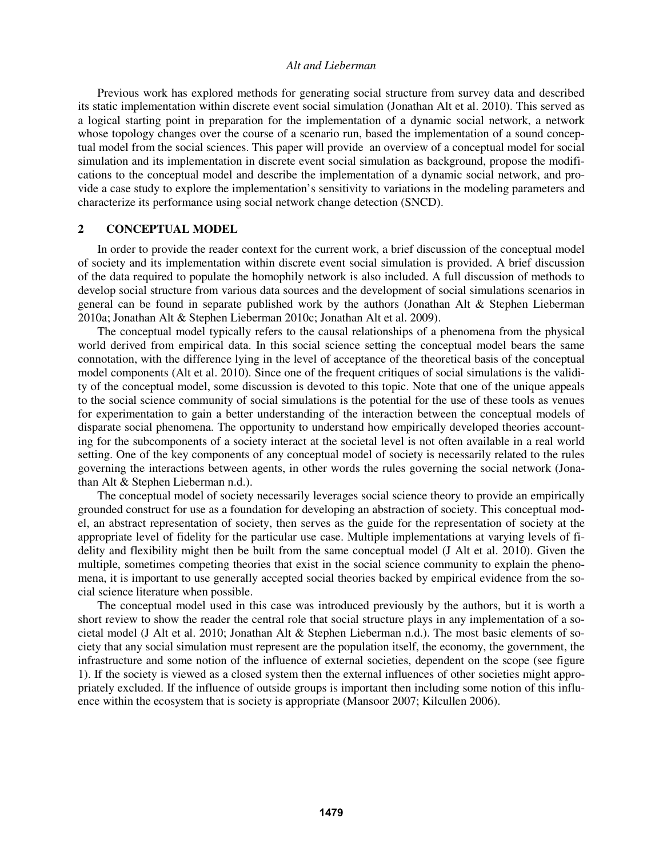Previous work has explored methods for generating social structure from survey data and described its static implementation within discrete event social simulation (Jonathan Alt et al. 2010). This served as a logical starting point in preparation for the implementation of a dynamic social network, a network whose topology changes over the course of a scenario run, based the implementation of a sound conceptual model from the social sciences. This paper will provide an overview of a conceptual model for social simulation and its implementation in discrete event social simulation as background, propose the modifications to the conceptual model and describe the implementation of a dynamic social network, and provide a case study to explore the implementation's sensitivity to variations in the modeling parameters and characterize its performance using social network change detection (SNCD).

## **2 CONCEPTUAL MODEL**

 In order to provide the reader context for the current work, a brief discussion of the conceptual model of society and its implementation within discrete event social simulation is provided. A brief discussion of the data required to populate the homophily network is also included. A full discussion of methods to develop social structure from various data sources and the development of social simulations scenarios in general can be found in separate published work by the authors (Jonathan Alt & Stephen Lieberman 2010a; Jonathan Alt & Stephen Lieberman 2010c; Jonathan Alt et al. 2009).

 The conceptual model typically refers to the causal relationships of a phenomena from the physical world derived from empirical data. In this social science setting the conceptual model bears the same connotation, with the difference lying in the level of acceptance of the theoretical basis of the conceptual model components (Alt et al. 2010). Since one of the frequent critiques of social simulations is the validity of the conceptual model, some discussion is devoted to this topic. Note that one of the unique appeals to the social science community of social simulations is the potential for the use of these tools as venues for experimentation to gain a better understanding of the interaction between the conceptual models of disparate social phenomena. The opportunity to understand how empirically developed theories accounting for the subcomponents of a society interact at the societal level is not often available in a real world setting. One of the key components of any conceptual model of society is necessarily related to the rules governing the interactions between agents, in other words the rules governing the social network (Jonathan Alt & Stephen Lieberman n.d.).

 The conceptual model of society necessarily leverages social science theory to provide an empirically grounded construct for use as a foundation for developing an abstraction of society. This conceptual model, an abstract representation of society, then serves as the guide for the representation of society at the appropriate level of fidelity for the particular use case. Multiple implementations at varying levels of fidelity and flexibility might then be built from the same conceptual model (J Alt et al. 2010). Given the multiple, sometimes competing theories that exist in the social science community to explain the phenomena, it is important to use generally accepted social theories backed by empirical evidence from the social science literature when possible.

The conceptual model used in this case was introduced previously by the authors, but it is worth a short review to show the reader the central role that social structure plays in any implementation of a societal model (J Alt et al. 2010; Jonathan Alt & Stephen Lieberman n.d.). The most basic elements of society that any social simulation must represent are the population itself, the economy, the government, the infrastructure and some notion of the influence of external societies, dependent on the scope (see figure 1). If the society is viewed as a closed system then the external influences of other societies might appropriately excluded. If the influence of outside groups is important then including some notion of this influence within the ecosystem that is society is appropriate (Mansoor 2007; Kilcullen 2006).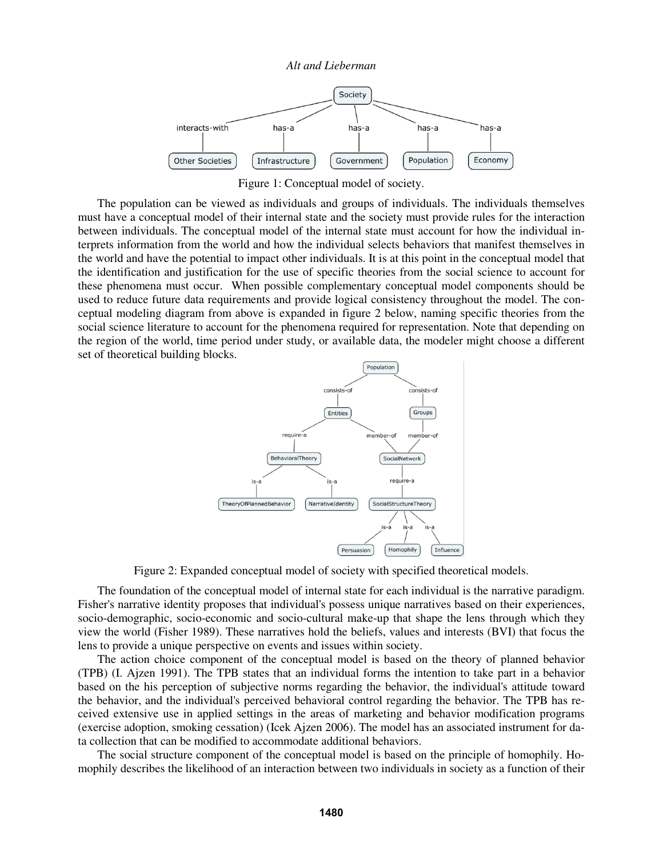

Figure 1: Conceptual model of society.

The population can be viewed as individuals and groups of individuals. The individuals themselves must have a conceptual model of their internal state and the society must provide rules for the interaction between individuals. The conceptual model of the internal state must account for how the individual interprets information from the world and how the individual selects behaviors that manifest themselves in the world and have the potential to impact other individuals. It is at this point in the conceptual model that the identification and justification for the use of specific theories from the social science to account for these phenomena must occur. When possible complementary conceptual model components should be used to reduce future data requirements and provide logical consistency throughout the model. The conceptual modeling diagram from above is expanded in figure 2 below, naming specific theories from the social science literature to account for the phenomena required for representation. Note that depending on the region of the world, time period under study, or available data, the modeler might choose a different set of theoretical building blocks.



Figure 2: Expanded conceptual model of society with specified theoretical models.

The foundation of the conceptual model of internal state for each individual is the narrative paradigm. Fisher's narrative identity proposes that individual's possess unique narratives based on their experiences, socio-demographic, socio-economic and socio-cultural make-up that shape the lens through which they view the world (Fisher 1989). These narratives hold the beliefs, values and interests (BVI) that focus the lens to provide a unique perspective on events and issues within society.

The action choice component of the conceptual model is based on the theory of planned behavior (TPB) (I. Ajzen 1991). The TPB states that an individual forms the intention to take part in a behavior based on the his perception of subjective norms regarding the behavior, the individual's attitude toward the behavior, and the individual's perceived behavioral control regarding the behavior. The TPB has received extensive use in applied settings in the areas of marketing and behavior modification programs (exercise adoption, smoking cessation) (Icek Ajzen 2006). The model has an associated instrument for data collection that can be modified to accommodate additional behaviors.

The social structure component of the conceptual model is based on the principle of homophily. Homophily describes the likelihood of an interaction between two individuals in society as a function of their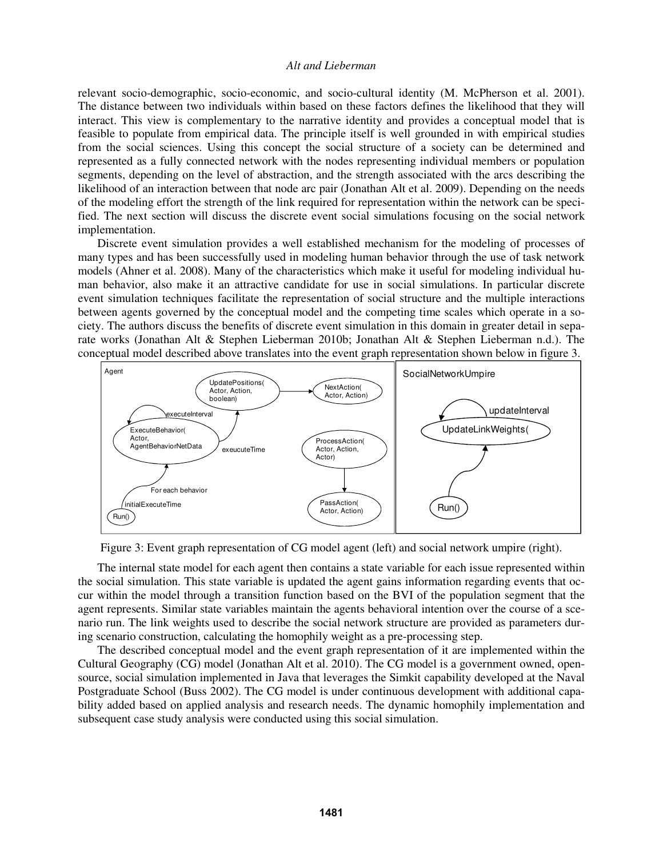relevant socio-demographic, socio-economic, and socio-cultural identity (M. McPherson et al. 2001). The distance between two individuals within based on these factors defines the likelihood that they will interact. This view is complementary to the narrative identity and provides a conceptual model that is feasible to populate from empirical data. The principle itself is well grounded in with empirical studies from the social sciences. Using this concept the social structure of a society can be determined and represented as a fully connected network with the nodes representing individual members or population segments, depending on the level of abstraction, and the strength associated with the arcs describing the likelihood of an interaction between that node arc pair (Jonathan Alt et al. 2009). Depending on the needs of the modeling effort the strength of the link required for representation within the network can be specified. The next section will discuss the discrete event social simulations focusing on the social network implementation.

Discrete event simulation provides a well established mechanism for the modeling of processes of many types and has been successfully used in modeling human behavior through the use of task network models (Ahner et al. 2008). Many of the characteristics which make it useful for modeling individual human behavior, also make it an attractive candidate for use in social simulations. In particular discrete event simulation techniques facilitate the representation of social structure and the multiple interactions between agents governed by the conceptual model and the competing time scales which operate in a society. The authors discuss the benefits of discrete event simulation in this domain in greater detail in separate works (Jonathan Alt & Stephen Lieberman 2010b; Jonathan Alt & Stephen Lieberman n.d.). The conceptual model described above translates into the event graph representation shown below in figure 3.



Figure 3: Event graph representation of CG model agent (left) and social network umpire (right).

The internal state model for each agent then contains a state variable for each issue represented within the social simulation. This state variable is updated the agent gains information regarding events that occur within the model through a transition function based on the BVI of the population segment that the agent represents. Similar state variables maintain the agents behavioral intention over the course of a scenario run. The link weights used to describe the social network structure are provided as parameters during scenario construction, calculating the homophily weight as a pre-processing step.

The described conceptual model and the event graph representation of it are implemented within the Cultural Geography (CG) model (Jonathan Alt et al. 2010). The CG model is a government owned, opensource, social simulation implemented in Java that leverages the Simkit capability developed at the Naval Postgraduate School (Buss 2002). The CG model is under continuous development with additional capability added based on applied analysis and research needs. The dynamic homophily implementation and subsequent case study analysis were conducted using this social simulation.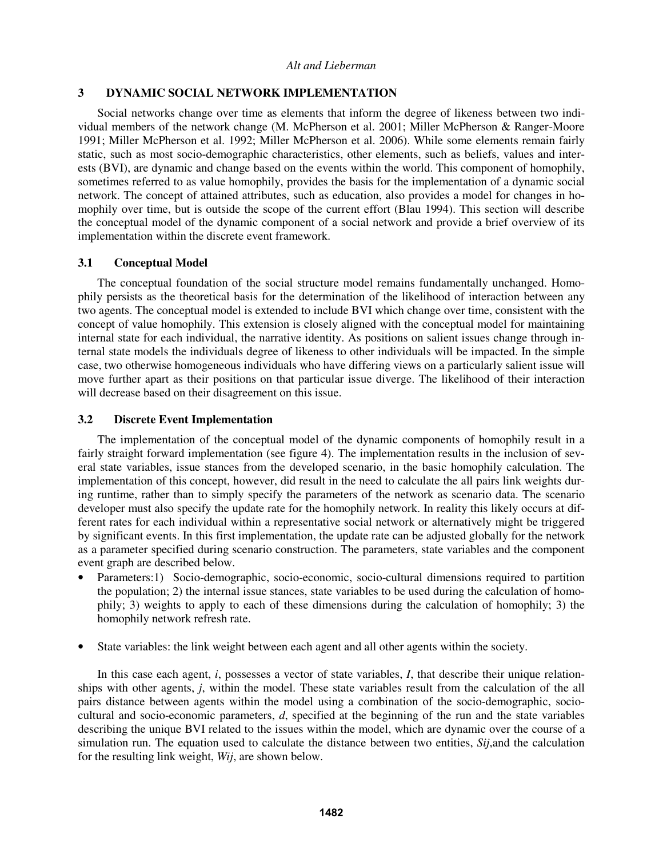# **3 DYNAMIC SOCIAL NETWORK IMPLEMENTATION**

 Social networks change over time as elements that inform the degree of likeness between two individual members of the network change (M. McPherson et al. 2001; Miller McPherson & Ranger-Moore 1991; Miller McPherson et al. 1992; Miller McPherson et al. 2006). While some elements remain fairly static, such as most socio-demographic characteristics, other elements, such as beliefs, values and interests (BVI), are dynamic and change based on the events within the world. This component of homophily, sometimes referred to as value homophily, provides the basis for the implementation of a dynamic social network. The concept of attained attributes, such as education, also provides a model for changes in homophily over time, but is outside the scope of the current effort (Blau 1994). This section will describe the conceptual model of the dynamic component of a social network and provide a brief overview of its implementation within the discrete event framework.

## **3.1 Conceptual Model**

 The conceptual foundation of the social structure model remains fundamentally unchanged. Homophily persists as the theoretical basis for the determination of the likelihood of interaction between any two agents. The conceptual model is extended to include BVI which change over time, consistent with the concept of value homophily. This extension is closely aligned with the conceptual model for maintaining internal state for each individual, the narrative identity. As positions on salient issues change through internal state models the individuals degree of likeness to other individuals will be impacted. In the simple case, two otherwise homogeneous individuals who have differing views on a particularly salient issue will move further apart as their positions on that particular issue diverge. The likelihood of their interaction will decrease based on their disagreement on this issue.

# **3.2 Discrete Event Implementation**

The implementation of the conceptual model of the dynamic components of homophily result in a fairly straight forward implementation (see figure 4). The implementation results in the inclusion of several state variables, issue stances from the developed scenario, in the basic homophily calculation. The implementation of this concept, however, did result in the need to calculate the all pairs link weights during runtime, rather than to simply specify the parameters of the network as scenario data. The scenario developer must also specify the update rate for the homophily network. In reality this likely occurs at different rates for each individual within a representative social network or alternatively might be triggered by significant events. In this first implementation, the update rate can be adjusted globally for the network as a parameter specified during scenario construction. The parameters, state variables and the component event graph are described below.

- Parameters:1) Socio-demographic, socio-economic, socio-cultural dimensions required to partition the population; 2) the internal issue stances, state variables to be used during the calculation of homophily; 3) weights to apply to each of these dimensions during the calculation of homophily; 3) the homophily network refresh rate.
- State variables: the link weight between each agent and all other agents within the society.

 In this case each agent, *i*, possesses a vector of state variables, *I*, that describe their unique relationships with other agents, *j*, within the model. These state variables result from the calculation of the all pairs distance between agents within the model using a combination of the socio-demographic, sociocultural and socio-economic parameters, *d*, specified at the beginning of the run and the state variables describing the unique BVI related to the issues within the model, which are dynamic over the course of a simulation run. The equation used to calculate the distance between two entities, *Sij*,and the calculation for the resulting link weight, *Wij*, are shown below.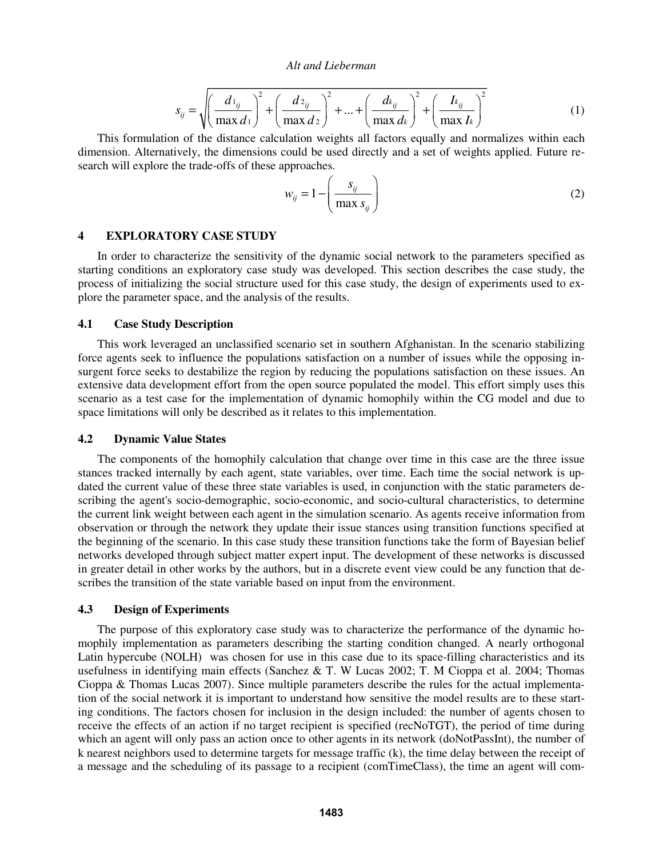$$
s_{ij} = \sqrt{\left(\frac{d_{1_{ij}}}{\max d_1}\right)^2 + \left(\frac{d_{2_{ij}}}{\max d_2}\right)^2 + \dots + \left(\frac{d_{k_{ij}}}{\max d_k}\right)^2 + \left(\frac{I_{k_{ij}}}{\max I_k}\right)^2}
$$
(1)

 This formulation of the distance calculation weights all factors equally and normalizes within each dimension. Alternatively, the dimensions could be used directly and a set of weights applied. Future research will explore the trade-offs of these approaches.

$$
w_{ij} = 1 - \left(\frac{s_{ij}}{\max s_{ij}}\right)
$$
 (2)

#### **4 EXPLORATORY CASE STUDY**

 In order to characterize the sensitivity of the dynamic social network to the parameters specified as starting conditions an exploratory case study was developed. This section describes the case study, the process of initializing the social structure used for this case study, the design of experiments used to explore the parameter space, and the analysis of the results.

#### **4.1 Case Study Description**

 This work leveraged an unclassified scenario set in southern Afghanistan. In the scenario stabilizing force agents seek to influence the populations satisfaction on a number of issues while the opposing insurgent force seeks to destabilize the region by reducing the populations satisfaction on these issues. An extensive data development effort from the open source populated the model. This effort simply uses this scenario as a test case for the implementation of dynamic homophily within the CG model and due to space limitations will only be described as it relates to this implementation.

#### **4.2 Dynamic Value States**

 The components of the homophily calculation that change over time in this case are the three issue stances tracked internally by each agent, state variables, over time. Each time the social network is updated the current value of these three state variables is used, in conjunction with the static parameters describing the agent's socio-demographic, socio-economic, and socio-cultural characteristics, to determine the current link weight between each agent in the simulation scenario. As agents receive information from observation or through the network they update their issue stances using transition functions specified at the beginning of the scenario. In this case study these transition functions take the form of Bayesian belief networks developed through subject matter expert input. The development of these networks is discussed in greater detail in other works by the authors, but in a discrete event view could be any function that describes the transition of the state variable based on input from the environment.

#### **4.3 Design of Experiments**

 The purpose of this exploratory case study was to characterize the performance of the dynamic homophily implementation as parameters describing the starting condition changed. A nearly orthogonal Latin hypercube (NOLH) was chosen for use in this case due to its space-filling characteristics and its usefulness in identifying main effects (Sanchez & T. W Lucas 2002; T. M Cioppa et al. 2004; Thomas Cioppa & Thomas Lucas 2007). Since multiple parameters describe the rules for the actual implementation of the social network it is important to understand how sensitive the model results are to these starting conditions. The factors chosen for inclusion in the design included: the number of agents chosen to receive the effects of an action if no target recipient is specified (recNoTGT), the period of time during which an agent will only pass an action once to other agents in its network (doNotPassInt), the number of k nearest neighbors used to determine targets for message traffic (k), the time delay between the receipt of a message and the scheduling of its passage to a recipient (comTimeClass), the time an agent will com-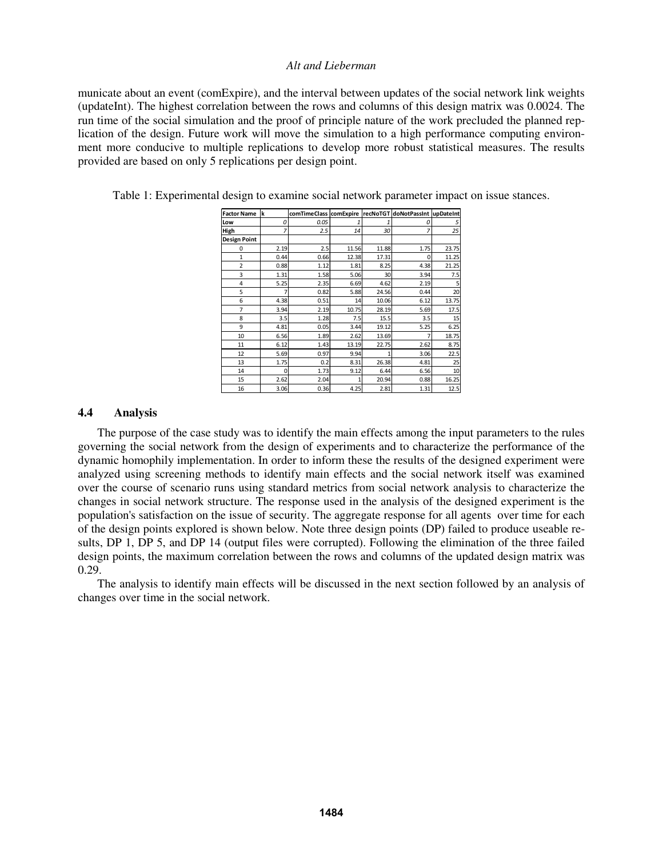municate about an event (comExpire), and the interval between updates of the social network link weights (updateInt). The highest correlation between the rows and columns of this design matrix was 0.0024. The run time of the social simulation and the proof of principle nature of the work precluded the planned replication of the design. Future work will move the simulation to a high performance computing environment more conducive to multiple replications to develop more robust statistical measures. The results provided are based on only 5 replications per design point.

| <b>Factor Name</b>  | k        | comTimeClass comExpire recNoTGT doNotPassInt upDateInt |       |       |      |       |
|---------------------|----------|--------------------------------------------------------|-------|-------|------|-------|
| Low                 | 0        | 0.05                                                   | 1     | 1     | 0    | 5     |
| High                | 7        | 2.5                                                    | 14    | 30    | 7    | 25    |
| <b>Design Point</b> |          |                                                        |       |       |      |       |
| 0                   | 2.19     | 2.5                                                    | 11.56 | 11.88 | 1.75 | 23.75 |
| $\mathbf{1}$        | 0.44     | 0.66                                                   | 12.38 | 17.31 | n    | 11.25 |
| $\overline{2}$      | 0.88     | 1.12                                                   | 1.81  | 8.25  | 4.38 | 21.25 |
| 3                   | 1.31     | 1.58                                                   | 5.06  | 30    | 3.94 | 7.5   |
| 4                   | 5.25     | 2.35                                                   | 6.69  | 4.62  | 2.19 |       |
| 5                   | 7        | 0.82                                                   | 5.88  | 24.56 | 0.44 | 20    |
| 6                   | 4.38     | 0.51                                                   | 14    | 10.06 | 6.12 | 13.75 |
| $\overline{7}$      | 3.94     | 2.19                                                   | 10.75 | 28.19 | 5.69 | 17.5  |
| 8                   | 3.5      | 1.28                                                   | 7.5   | 15.5  | 3.5  | 15    |
| 9                   | 4.81     | 0.05                                                   | 3.44  | 19.12 | 5.25 | 6.25  |
| 10                  | 6.56     | 1.89                                                   | 2.62  | 13.69 |      | 18.75 |
| 11                  | 6.12     | 1.43                                                   | 13.19 | 22.75 | 2.62 | 8.75  |
| 12                  | 5.69     | 0.97                                                   | 9.94  |       | 3.06 | 22.5  |
| 13                  | 1.75     | 0.2                                                    | 8.31  | 26.38 | 4.81 | 25    |
| 14                  | $\Omega$ | 1.73                                                   | 9.12  | 6.44  | 6.56 | 10    |
| 15                  | 2.62     | 2.04                                                   |       | 20.94 | 0.88 | 16.25 |
| 16                  | 3.06     | 0.36                                                   | 4.25  | 2.81  | 1.31 | 12.5  |

Table 1: Experimental design to examine social network parameter impact on issue stances.

## **4.4 Analysis**

 The purpose of the case study was to identify the main effects among the input parameters to the rules governing the social network from the design of experiments and to characterize the performance of the dynamic homophily implementation. In order to inform these the results of the designed experiment were analyzed using screening methods to identify main effects and the social network itself was examined over the course of scenario runs using standard metrics from social network analysis to characterize the changes in social network structure. The response used in the analysis of the designed experiment is the population's satisfaction on the issue of security. The aggregate response for all agents over time for each of the design points explored is shown below. Note three design points (DP) failed to produce useable results, DP 1, DP 5, and DP 14 (output files were corrupted). Following the elimination of the three failed design points, the maximum correlation between the rows and columns of the updated design matrix was 0.29.

 The analysis to identify main effects will be discussed in the next section followed by an analysis of changes over time in the social network.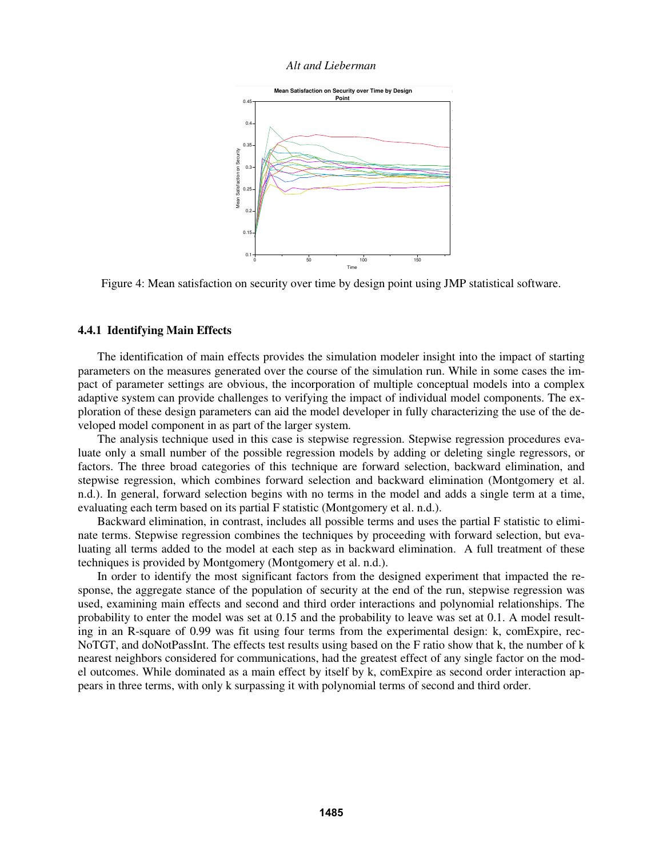

Figure 4: Mean satisfaction on security over time by design point using JMP statistical software.

### **4.4.1 Identifying Main Effects**

 The identification of main effects provides the simulation modeler insight into the impact of starting parameters on the measures generated over the course of the simulation run. While in some cases the impact of parameter settings are obvious, the incorporation of multiple conceptual models into a complex adaptive system can provide challenges to verifying the impact of individual model components. The exploration of these design parameters can aid the model developer in fully characterizing the use of the developed model component in as part of the larger system.

The analysis technique used in this case is stepwise regression. Stepwise regression procedures evaluate only a small number of the possible regression models by adding or deleting single regressors, or factors. The three broad categories of this technique are forward selection, backward elimination, and stepwise regression, which combines forward selection and backward elimination (Montgomery et al. n.d.). In general, forward selection begins with no terms in the model and adds a single term at a time, evaluating each term based on its partial F statistic (Montgomery et al. n.d.).

Backward elimination, in contrast, includes all possible terms and uses the partial F statistic to eliminate terms. Stepwise regression combines the techniques by proceeding with forward selection, but evaluating all terms added to the model at each step as in backward elimination. A full treatment of these techniques is provided by Montgomery (Montgomery et al. n.d.).

In order to identify the most significant factors from the designed experiment that impacted the response, the aggregate stance of the population of security at the end of the run, stepwise regression was used, examining main effects and second and third order interactions and polynomial relationships. The probability to enter the model was set at 0.15 and the probability to leave was set at 0.1. A model resulting in an R-square of 0.99 was fit using four terms from the experimental design: k, comExpire, rec-NoTGT, and doNotPassInt. The effects test results using based on the F ratio show that k, the number of k nearest neighbors considered for communications, had the greatest effect of any single factor on the model outcomes. While dominated as a main effect by itself by k, comExpire as second order interaction appears in three terms, with only k surpassing it with polynomial terms of second and third order.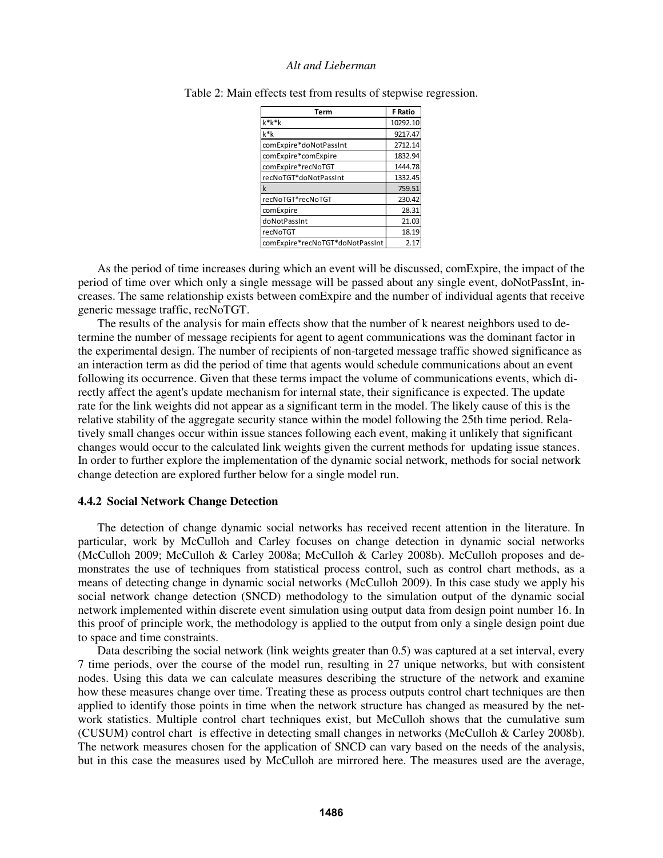| Term                            | <b>F</b> Ratio |
|---------------------------------|----------------|
| $k*k*k$                         | 10292.10       |
| k*k                             | 9217.47        |
| comExpire*doNotPassInt          | 2712.14        |
| comExpire*comExpire             | 1832.94        |
| comExpire*recNoTGT              | 1444.78        |
| recNoTGT*doNotPassInt           | 1332.45        |
| $\mathbf k$                     | 759.51         |
| recNoTGT*recNoTGT               | 230.42         |
| comExpire                       | 28.31          |
| doNotPassInt                    | 21.03          |
| recNoTGT                        | 18.19          |
| comExpire*recNoTGT*doNotPassInt | 2.17           |

Table 2: Main effects test from results of stepwise regression.

 As the period of time increases during which an event will be discussed, comExpire, the impact of the period of time over which only a single message will be passed about any single event, doNotPassInt, increases. The same relationship exists between comExpire and the number of individual agents that receive generic message traffic, recNoTGT.

The results of the analysis for main effects show that the number of k nearest neighbors used to determine the number of message recipients for agent to agent communications was the dominant factor in the experimental design. The number of recipients of non-targeted message traffic showed significance as an interaction term as did the period of time that agents would schedule communications about an event following its occurrence. Given that these terms impact the volume of communications events, which directly affect the agent's update mechanism for internal state, their significance is expected. The update rate for the link weights did not appear as a significant term in the model. The likely cause of this is the relative stability of the aggregate security stance within the model following the 25th time period. Relatively small changes occur within issue stances following each event, making it unlikely that significant changes would occur to the calculated link weights given the current methods for updating issue stances. In order to further explore the implementation of the dynamic social network, methods for social network change detection are explored further below for a single model run.

# **4.4.2 Social Network Change Detection**

 The detection of change dynamic social networks has received recent attention in the literature. In particular, work by McCulloh and Carley focuses on change detection in dynamic social networks (McCulloh 2009; McCulloh & Carley 2008a; McCulloh & Carley 2008b). McCulloh proposes and demonstrates the use of techniques from statistical process control, such as control chart methods, as a means of detecting change in dynamic social networks (McCulloh 2009). In this case study we apply his social network change detection (SNCD) methodology to the simulation output of the dynamic social network implemented within discrete event simulation using output data from design point number 16. In this proof of principle work, the methodology is applied to the output from only a single design point due to space and time constraints.

Data describing the social network (link weights greater than 0.5) was captured at a set interval, every 7 time periods, over the course of the model run, resulting in 27 unique networks, but with consistent nodes. Using this data we can calculate measures describing the structure of the network and examine how these measures change over time. Treating these as process outputs control chart techniques are then applied to identify those points in time when the network structure has changed as measured by the network statistics. Multiple control chart techniques exist, but McCulloh shows that the cumulative sum (CUSUM) control chart is effective in detecting small changes in networks (McCulloh & Carley 2008b). The network measures chosen for the application of SNCD can vary based on the needs of the analysis, but in this case the measures used by McCulloh are mirrored here. The measures used are the average,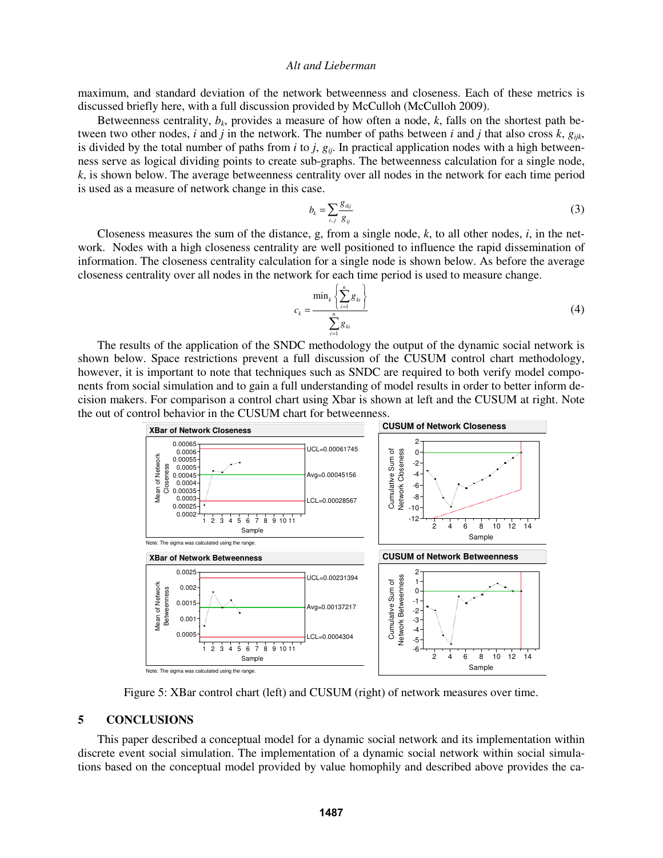maximum, and standard deviation of the network betweenness and closeness. Each of these metrics is discussed briefly here, with a full discussion provided by McCulloh (McCulloh 2009).

Betweenness centrality,  $b_k$ , provides a measure of how often a node,  $k$ , falls on the shortest path between two other nodes, *i* and *j* in the network. The number of paths between *i* and *j* that also cross *k*, *gijk*, is divided by the total number of paths from *i* to *j*, *gij*. In practical application nodes with a high betweenness serve as logical dividing points to create sub-graphs. The betweenness calculation for a single node, *k*, is shown below. The average betweenness centrality over all nodes in the network for each time period is used as a measure of network change in this case.

$$
b_k = \sum_{i,j} \frac{g_{ikj}}{g_{ij}} \tag{3}
$$

Closeness measures the sum of the distance, g, from a single node, *k*, to all other nodes, *i*, in the network. Nodes with a high closeness centrality are well positioned to influence the rapid dissemination of information. The closeness centrality calculation for a single node is shown below. As before the average closeness centrality over all nodes in the network for each time period is used to measure change.

$$
c_k = \frac{\min_k \left\{ \sum_{i=1}^n g_{ki} \right\}}{\sum_{i=1}^n g_{ki}}
$$
(4)

The results of the application of the SNDC methodology the output of the dynamic social network is shown below. Space restrictions prevent a full discussion of the CUSUM control chart methodology, however, it is important to note that techniques such as SNDC are required to both verify model components from social simulation and to gain a full understanding of model results in order to better inform decision makers. For comparison a control chart using Xbar is shown at left and the CUSUM at right. Note the out of control behavior in the CUSUM chart for betweenness.



Figure 5: XBar control chart (left) and CUSUM (right) of network measures over time.

### **5 CONCLUSIONS**

 This paper described a conceptual model for a dynamic social network and its implementation within discrete event social simulation. The implementation of a dynamic social network within social simulations based on the conceptual model provided by value homophily and described above provides the ca-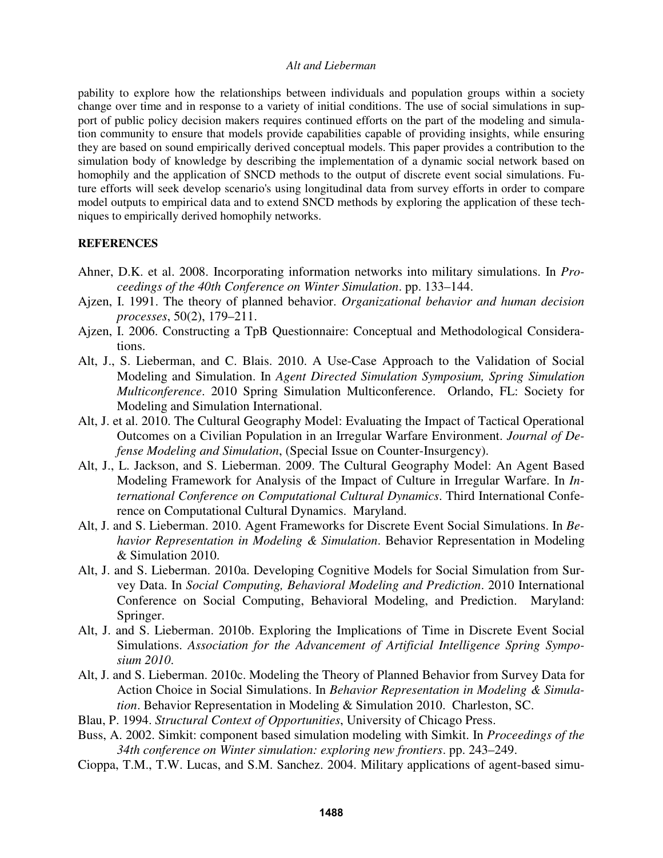pability to explore how the relationships between individuals and population groups within a society change over time and in response to a variety of initial conditions. The use of social simulations in support of public policy decision makers requires continued efforts on the part of the modeling and simulation community to ensure that models provide capabilities capable of providing insights, while ensuring they are based on sound empirically derived conceptual models. This paper provides a contribution to the simulation body of knowledge by describing the implementation of a dynamic social network based on homophily and the application of SNCD methods to the output of discrete event social simulations. Future efforts will seek develop scenario's using longitudinal data from survey efforts in order to compare model outputs to empirical data and to extend SNCD methods by exploring the application of these techniques to empirically derived homophily networks.

# **REFERENCES**

- Ahner, D.K. et al. 2008. Incorporating information networks into military simulations. In *Proceedings of the 40th Conference on Winter Simulation*. pp. 133–144.
- Ajzen, I. 1991. The theory of planned behavior. *Organizational behavior and human decision processes*, 50(2), 179–211.
- Ajzen, I. 2006. Constructing a TpB Questionnaire: Conceptual and Methodological Considerations.
- Alt, J., S. Lieberman, and C. Blais. 2010. A Use-Case Approach to the Validation of Social Modeling and Simulation. In *Agent Directed Simulation Symposium, Spring Simulation Multiconference*. 2010 Spring Simulation Multiconference. Orlando, FL: Society for Modeling and Simulation International.
- Alt, J. et al. 2010. The Cultural Geography Model: Evaluating the Impact of Tactical Operational Outcomes on a Civilian Population in an Irregular Warfare Environment. *Journal of Defense Modeling and Simulation*, (Special Issue on Counter-Insurgency).
- Alt, J., L. Jackson, and S. Lieberman. 2009. The Cultural Geography Model: An Agent Based Modeling Framework for Analysis of the Impact of Culture in Irregular Warfare. In *International Conference on Computational Cultural Dynamics*. Third International Conference on Computational Cultural Dynamics. Maryland.
- Alt, J. and S. Lieberman. 2010. Agent Frameworks for Discrete Event Social Simulations. In *Behavior Representation in Modeling & Simulation*. Behavior Representation in Modeling & Simulation 2010.
- Alt, J. and S. Lieberman. 2010a. Developing Cognitive Models for Social Simulation from Survey Data. In *Social Computing, Behavioral Modeling and Prediction*. 2010 International Conference on Social Computing, Behavioral Modeling, and Prediction. Maryland: Springer.
- Alt, J. and S. Lieberman. 2010b. Exploring the Implications of Time in Discrete Event Social Simulations. *Association for the Advancement of Artificial Intelligence Spring Symposium 2010*.
- Alt, J. and S. Lieberman. 2010c. Modeling the Theory of Planned Behavior from Survey Data for Action Choice in Social Simulations. In *Behavior Representation in Modeling & Simulation*. Behavior Representation in Modeling & Simulation 2010. Charleston, SC.
- Blau, P. 1994. *Structural Context of Opportunities*, University of Chicago Press.
- Buss, A. 2002. Simkit: component based simulation modeling with Simkit. In *Proceedings of the 34th conference on Winter simulation: exploring new frontiers*. pp. 243–249.
- Cioppa, T.M., T.W. Lucas, and S.M. Sanchez. 2004. Military applications of agent-based simu-